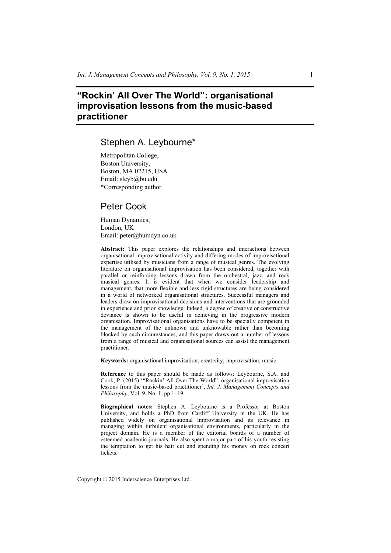# **"Rockin' All Over The World": organisational improvisation lessons from the music-based practitioner**

## Stephen A. Leybourne\*

Metropolitan College, Boston University, Boston, MA 02215, USA Email: sleyb@bu.edu \*Corresponding author

## Peter Cook

Human Dynamics, London, UK Email: peter@humdyn.co.uk

**Abstract:** This paper explores the relationships and interactions between organisational improvisational activity and differing modes of improvisational expertise utilised by musicians from a range of musical genres. The evolving literature on organisational improvisation has been considered, together with parallel or reinforcing lessons drawn from the orchestral, jazz, and rock musical genres. It is evident that when we consider leadership and management, that more flexible and less rigid structures are being considered in a world of networked organisational structures. Successful managers and leaders draw on improvisational decisions and interventions that are grounded in experience and prior knowledge. Indeed, a degree of creative or constructive deviance is shown to be useful in achieving in the progressive modern organisation. Improvisational organisations have to be specially competent in the management of the unknown and unknowable rather than becoming blocked by such circumstances, and this paper draws out a number of lessons from a range of musical and organisational sources can assist the management practitioner.

**Keywords:** organisational improvisation; creativity; improvisation; music.

**Reference** to this paper should be made as follows: Leybourne, S.A. and Cook, P. (2015) '"Rockin' All Over The World": organisational improvisation lessons from the music-based practitioner', *Int. J. Management Concepts and Philosophy*, Vol. 9, No. 1, pp.1–19.

**Biographical notes:** Stephen A. Leybourne is a Professor at Boston University, and holds a PhD from Cardiff University in the UK. He has published widely on organisational improvisation and its relevance in managing within turbulent organisational environments, particularly in the project domain. He is a member of the editorial boards of a number of esteemed academic journals. He also spent a major part of his youth resisting the temptation to get his hair cut and spending his money on rock concert tickets.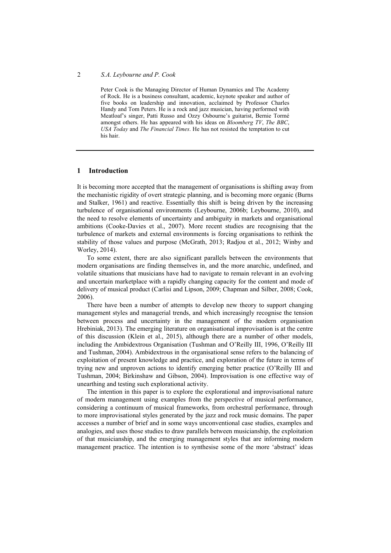Peter Cook is the Managing Director of Human Dynamics and The Academy of Rock. He is a business consultant, academic, keynote speaker and author of five books on leadership and innovation, acclaimed by Professor Charles Handy and Tom Peters. He is a rock and jazz musician, having performed with Meatloaf's singer, Patti Russo and Ozzy Osbourne's guitarist, Bernie Tormé amongst others. He has appeared with his ideas on *Bloomberg TV*, *The BBC*, *USA Today* and *The Financial Times*. He has not resisted the temptation to cut his hair.

#### **1 Introduction**

It is becoming more accepted that the management of organisations is shifting away from the mechanistic rigidity of overt strategic planning, and is becoming more organic (Burns and Stalker, 1961) and reactive. Essentially this shift is being driven by the increasing turbulence of organisational environments (Leybourne, 2006b; Leybourne, 2010), and the need to resolve elements of uncertainty and ambiguity in markets and organisational ambitions (Cooke-Davies et al., 2007). More recent studies are recognising that the turbulence of markets and external environments is forcing organisations to rethink the stability of those values and purpose (McGrath, 2013; Radjou et al., 2012; Winby and Worley, 2014).

To some extent, there are also significant parallels between the environments that modern organisations are finding themselves in, and the more anarchic, undefined, and volatile situations that musicians have had to navigate to remain relevant in an evolving and uncertain marketplace with a rapidly changing capacity for the content and mode of delivery of musical product (Carlisi and Lipson, 2009; Chapman and Silber, 2008; Cook, 2006).

There have been a number of attempts to develop new theory to support changing management styles and managerial trends, and which increasingly recognise the tension between process and uncertainty in the management of the modern organisation Hrebiniak, 2013). The emerging literature on organisational improvisation is at the centre of this discussion (Klein et al., 2015), although there are a number of other models, including the Ambidextrous Organisation (Tushman and O'Reilly III, 1996, O'Reilly III and Tushman, 2004). Ambidextrous in the organisational sense refers to the balancing of exploitation of present knowledge and practice, and exploration of the future in terms of trying new and unproven actions to identify emerging better practice (O'Reilly III and Tushman, 2004; Birkinshaw and Gibson, 2004). Improvisation is one effective way of unearthing and testing such explorational activity.

The intention in this paper is to explore the explorational and improvisational nature of modern management using examples from the perspective of musical performance, considering a continuum of musical frameworks, from orchestral performance, through to more improvisational styles generated by the jazz and rock music domains. The paper accesses a number of brief and in some ways unconventional case studies, examples and analogies, and uses those studies to draw parallels between musicianship, the exploitation of that musicianship, and the emerging management styles that are informing modern management practice. The intention is to synthesise some of the more 'abstract' ideas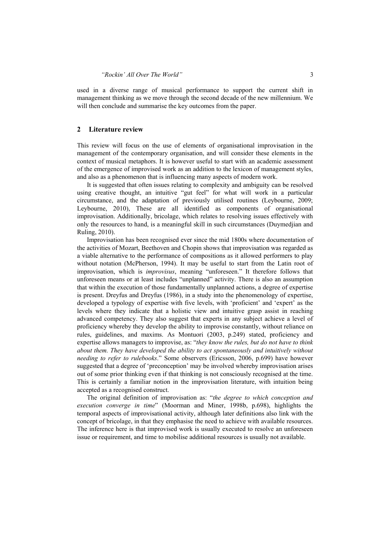used in a diverse range of musical performance to support the current shift in management thinking as we move through the second decade of the new millennium. We will then conclude and summarise the key outcomes from the paper.

### **2 Literature review**

This review will focus on the use of elements of organisational improvisation in the management of the contemporary organisation, and will consider these elements in the context of musical metaphors. It is however useful to start with an academic assessment of the emergence of improvised work as an addition to the lexicon of management styles, and also as a phenomenon that is influencing many aspects of modern work.

It is suggested that often issues relating to complexity and ambiguity can be resolved using creative thought, an intuitive "gut feel" for what will work in a particular circumstance, and the adaptation of previously utilised routines (Leybourne, 2009; Leybourne, 2010), These are all identified as components of organisational improvisation. Additionally, bricolage, which relates to resolving issues effectively with only the resources to hand, is a meaningful skill in such circumstances (Duymedjian and Ruling, 2010).

Improvisation has been recognised ever since the mid 1800s where documentation of the activities of Mozart, Beethoven and Chopin shows that improvisation was regarded as a viable alternative to the performance of compositions as it allowed performers to play without notation (McPherson, 1994). It may be useful to start from the Latin root of improvisation, which is *improvisus*, meaning "unforeseen." It therefore follows that unforeseen means or at least includes "unplanned" activity. There is also an assumption that within the execution of those fundamentally unplanned actions, a degree of expertise is present. Dreyfus and Dreyfus (1986), in a study into the phenomenology of expertise, developed a typology of expertise with five levels, with 'proficient' and 'expert' as the levels where they indicate that a holistic view and intuitive grasp assist in reaching advanced competency. They also suggest that experts in any subject achieve a level of proficiency whereby they develop the ability to improvise constantly, without reliance on rules, guidelines, and maxims. As Montuori (2003, p.249) stated, proficiency and expertise allows managers to improvise, as: "*they know the rules, but do not have to think about them. They have developed the ability to act spontaneously and intuitively without needing to refer to rulebooks*." Some observers (Ericsson, 2006, p.699) have however suggested that a degree of 'preconception' may be involved whereby improvisation arises out of some prior thinking even if that thinking is not consciously recognised at the time. This is certainly a familiar notion in the improvisation literature, with intuition being accepted as a recognised construct.

The original definition of improvisation as: "*the degree to which conception and execution converge in time*" (Moorman and Miner, 1998b, p.698), highlights the temporal aspects of improvisational activity, although later definitions also link with the concept of bricolage, in that they emphasise the need to achieve with available resources. The inference here is that improvised work is usually executed to resolve an unforeseen issue or requirement, and time to mobilise additional resources is usually not available.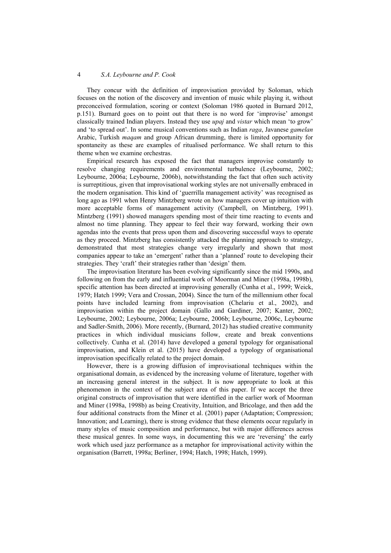They concur with the definition of improvisation provided by Soloman, which focuses on the notion of the discovery and invention of music while playing it, without preconceived formulation, scoring or context (Soloman 1986 quoted in Burnard 2012, p.151). Burnard goes on to point out that there is no word for 'improvise' amongst classically trained Indian players. Instead they use *upaj* and *vistar* which mean 'to grow' and 'to spread out'. In some musical conventions such as Indian *raga*, Javanese *gamelan* Arabic, Turkish *maqam* and group African drumming, there is limited opportunity for spontaneity as these are examples of ritualised performance. We shall return to this theme when we examine orchestras.

Empirical research has exposed the fact that managers improvise constantly to resolve changing requirements and environmental turbulence (Leybourne, 2002; Leybourne, 2006a; Leybourne, 2006b), notwithstanding the fact that often such activity is surreptitious, given that improvisational working styles are not universally embraced in the modern organisation. This kind of 'guerrilla management activity' was recognised as long ago as 1991 when Henry Mintzberg wrote on how managers cover up intuition with more acceptable forms of management activity (Campbell, on Mintzberg, 1991). Mintzberg (1991) showed managers spending most of their time reacting to events and almost no time planning. They appear to feel their way forward, working their own agendas into the events that press upon them and discovering successful ways to operate as they proceed. Mintzberg has consistently attacked the planning approach to strategy, demonstrated that most strategies change very irregularly and shown that most companies appear to take an 'emergent' rather than a 'planned' route to developing their strategies. They 'craft' their strategies rather than 'design' them.

The improvisation literature has been evolving significantly since the mid 1990s, and following on from the early and influential work of Moorman and Miner (1998a, 1998b), specific attention has been directed at improvising generally (Cunha et al., 1999; Weick, 1979; Hatch 1999; Vera and Crossan, 2004). Since the turn of the millennium other focal points have included learning from improvisation (Chelariu et al., 2002), and improvisation within the project domain (Gallo and Gardiner, 2007; Kanter, 2002; Leybourne, 2002; Leybourne, 2006a; Leybourne, 2006b; Leybourne, 2006c, Leybourne and Sadler-Smith, 2006). More recently, (Burnard, 2012) has studied creative community practices in which individual musicians follow, create and break conventions collectively. Cunha et al. (2014) have developed a general typology for organisational improvisation, and Klein et al. (2015) have developed a typology of organisational improvisation specifically related to the project domain.

However, there is a growing diffusion of improvisational techniques within the organisational domain, as evidenced by the increasing volume of literature, together with an increasing general interest in the subject. It is now appropriate to look at this phenomenon in the context of the subject area of this paper. If we accept the three original constructs of improvisation that were identified in the earlier work of Moorman and Miner (1998a, 1998b) as being Creativity, Intuition, and Bricolage, and then add the four additional constructs from the Miner et al. (2001) paper (Adaptation; Compression; Innovation; and Learning), there is strong evidence that these elements occur regularly in many styles of music composition and performance, but with major differences across these musical genres. In some ways, in documenting this we are 'reversing' the early work which used jazz performance as a metaphor for improvisational activity within the organisation (Barrett, 1998a; Berliner, 1994; Hatch, 1998; Hatch, 1999).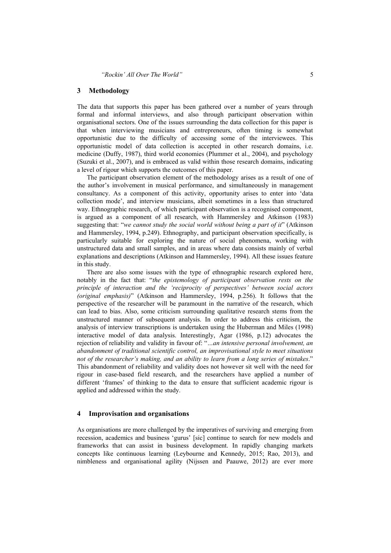## **3 Methodology**

The data that supports this paper has been gathered over a number of years through formal and informal interviews, and also through participant observation within organisational sectors. One of the issues surrounding the data collection for this paper is that when interviewing musicians and entrepreneurs, often timing is somewhat opportunistic due to the difficulty of accessing some of the interviewees. This opportunistic model of data collection is accepted in other research domains, i.e. medicine (Duffy, 1987), third world economies (Plummer et al., 2004), and psychology (Suzuki et al., 2007), and is embraced as valid within those research domains, indicating a level of rigour which supports the outcomes of this paper.

The participant observation element of the methodology arises as a result of one of the author's involvement in musical performance, and simultaneously in management consultancy. As a component of this activity, opportunity arises to enter into 'data collection mode', and interview musicians, albeit sometimes in a less than structured way. Ethnographic research, of which participant observation is a recognised component, is argued as a component of all research, with Hammersley and Atkinson (1983) suggesting that: "*we cannot study the social world without being a part of it*" (Atkinson and Hammersley, 1994, p.249). Ethnography, and participant observation specifically, is particularly suitable for exploring the nature of social phenomena, working with unstructured data and small samples, and in areas where data consists mainly of verbal explanations and descriptions (Atkinson and Hammersley, 1994). All these issues feature in this study.

There are also some issues with the type of ethnographic research explored here, notably in the fact that: "*the epistemology of participant observation rests on the principle of interaction and the 'reciprocity of perspectives' between social actors (original emphasis)*" (Atkinson and Hammersley, 1994, p.256). It follows that the perspective of the researcher will be paramount in the narrative of the research, which can lead to bias. Also, some criticism surrounding qualitative research stems from the unstructured manner of subsequent analysis. In order to address this criticism, the analysis of interview transcriptions is undertaken using the Huberman and Miles (1998) interactive model of data analysis. Interestingly, Agar (1986, p.12) advocates the rejection of reliability and validity in favour of: "*…an intensive personal involvement, an abandonment of traditional scientific control, an improvisational style to meet situations not of the researcher's making, and an ability to learn from a long series of mistakes*." This abandonment of reliability and validity does not however sit well with the need for rigour in case-based field research, and the researchers have applied a number of different 'frames' of thinking to the data to ensure that sufficient academic rigour is applied and addressed within the study.

## **4 Improvisation and organisations**

As organisations are more challenged by the imperatives of surviving and emerging from recession, academics and business 'gurus' [sic] continue to search for new models and frameworks that can assist in business development. In rapidly changing markets concepts like continuous learning (Leybourne and Kennedy, 2015; Rao, 2013), and nimbleness and organisational agility (Nijssen and Paauwe, 2012) are ever more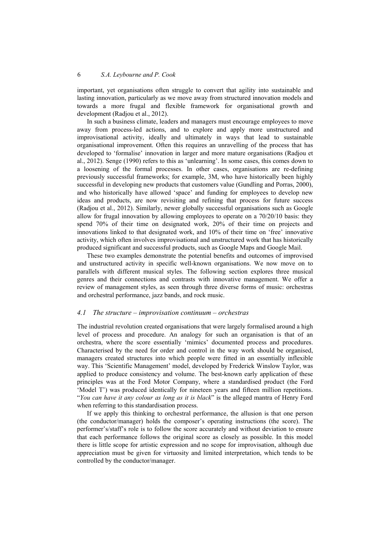important, yet organisations often struggle to convert that agility into sustainable and lasting innovation, particularly as we move away from structured innovation models and towards a more frugal and flexible framework for organisational growth and development (Radjou et al., 2012).

In such a business climate, leaders and managers must encourage employees to move away from process-led actions, and to explore and apply more unstructured and improvisational activity, ideally and ultimately in ways that lead to sustainable organisational improvement. Often this requires an unravelling of the process that has developed to 'formalise' innovation in larger and more mature organisations (Radjou et al., 2012). Senge (1990) refers to this as 'unlearning'. In some cases, this comes down to a loosening of the formal processes. In other cases, organisations are re-defining previously successful frameworks; for example, 3M, who have historically been highly successful in developing new products that customers value (Gundling and Porras, 2000), and who historically have allowed 'space' and funding for employees to develop new ideas and products, are now revisiting and refining that process for future success (Radjou et al., 2012). Similarly, newer globally successful organisations such as Google allow for frugal innovation by allowing employees to operate on a 70/20/10 basis: they spend 70% of their time on designated work, 20% of their time on projects and innovations linked to that designated work, and 10% of their time on 'free' innovative activity, which often involves improvisational and unstructured work that has historically produced significant and successful products, such as Google Maps and Google Mail.

These two examples demonstrate the potential benefits and outcomes of improvised and unstructured activity in specific well-known organisations. We now move on to parallels with different musical styles. The following section explores three musical genres and their connections and contrasts with innovative management. We offer a review of management styles, as seen through three diverse forms of music: orchestras and orchestral performance, jazz bands, and rock music.

#### *4.1 The structure – improvisation continuum – orchestras*

The industrial revolution created organisations that were largely formalised around a high level of process and procedure. An analogy for such an organisation is that of an orchestra, where the score essentially 'mimics' documented process and procedures. Characterised by the need for order and control in the way work should be organised, managers created structures into which people were fitted in an essentially inflexible way. This 'Scientific Management' model, developed by Frederick Winslow Taylor, was applied to produce consistency and volume. The best-known early application of these principles was at the Ford Motor Company, where a standardised product (the Ford 'Model T') was produced identically for nineteen years and fifteen million repetitions. "*You can have it any colour as long as it is black*" is the alleged mantra of Henry Ford when referring to this standardisation process.

If we apply this thinking to orchestral performance, the allusion is that one person (the conductor/manager) holds the composer's operating instructions (the score). The performer's/staff's role is to follow the score accurately and without deviation to ensure that each performance follows the original score as closely as possible. In this model there is little scope for artistic expression and no scope for improvisation, although due appreciation must be given for virtuosity and limited interpretation, which tends to be controlled by the conductor/manager.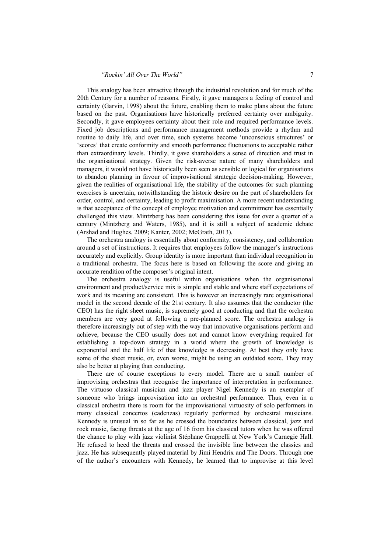#### *"Rockin' All Over The World"* 7

This analogy has been attractive through the industrial revolution and for much of the 20th Century for a number of reasons. Firstly, it gave managers a feeling of control and certainty (Garvin, 1998) about the future, enabling them to make plans about the future based on the past. Organisations have historically preferred certainty over ambiguity. Secondly, it gave employees certainty about their role and required performance levels. Fixed job descriptions and performance management methods provide a rhythm and routine to daily life, and over time, such systems become 'unconscious structures' or 'scores' that create conformity and smooth performance fluctuations to acceptable rather than extraordinary levels. Thirdly, it gave shareholders a sense of direction and trust in the organisational strategy. Given the risk-averse nature of many shareholders and managers, it would not have historically been seen as sensible or logical for organisations to abandon planning in favour of improvisational strategic decision-making. However, given the realities of organisational life, the stability of the outcomes for such planning exercises is uncertain, notwithstanding the historic desire on the part of shareholders for order, control, and certainty, leading to profit maximisation. A more recent understanding is that acceptance of the concept of employee motivation and commitment has essentially challenged this view. Mintzberg has been considering this issue for over a quarter of a century (Mintzberg and Waters, 1985), and it is still a subject of academic debate (Arshad and Hughes, 2009; Kanter, 2002; McGrath, 2013).

The orchestra analogy is essentially about conformity, consistency, and collaboration around a set of instructions. It requires that employees follow the manager's instructions accurately and explicitly. Group identity is more important than individual recognition in a traditional orchestra. The focus here is based on following the score and giving an accurate rendition of the composer's original intent.

The orchestra analogy is useful within organisations when the organisational environment and product/service mix is simple and stable and where staff expectations of work and its meaning are consistent. This is however an increasingly rare organisational model in the second decade of the 21st century. It also assumes that the conductor (the CEO) has the right sheet music, is supremely good at conducting and that the orchestra members are very good at following a pre-planned score. The orchestra analogy is therefore increasingly out of step with the way that innovative organisations perform and achieve, because the CEO usually does not and cannot know everything required for establishing a top-down strategy in a world where the growth of knowledge is exponential and the half life of that knowledge is decreasing. At best they only have some of the sheet music, or, even worse, might be using an outdated score. They may also be better at playing than conducting.

There are of course exceptions to every model. There are a small number of improvising orchestras that recognise the importance of interpretation in performance. The virtuoso classical musician and jazz player Nigel Kennedy is an exemplar of someone who brings improvisation into an orchestral performance. Thus, even in a classical orchestra there is room for the improvisational virtuosity of solo performers in many classical concertos (cadenzas) regularly performed by orchestral musicians. Kennedy is unusual in so far as he crossed the boundaries between classical, jazz and rock music, facing threats at the age of 16 from his classical tutors when he was offered the chance to play with jazz violinist Stéphane Grappelli at New York's Carnegie Hall. He refused to heed the threats and crossed the invisible line between the classics and jazz. He has subsequently played material by Jimi Hendrix and The Doors. Through one of the author's encounters with Kennedy, he learned that to improvise at this level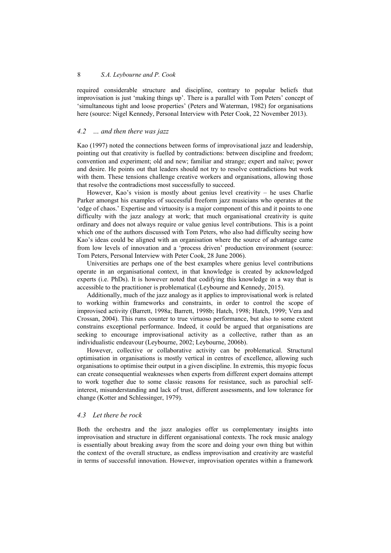required considerable structure and discipline, contrary to popular beliefs that improvisation is just 'making things up'. There is a parallel with Tom Peters' concept of 'simultaneous tight and loose properties' (Peters and Waterman, 1982) for organisations here (source: Nigel Kennedy, Personal Interview with Peter Cook, 22 November 2013).

#### *4.2 … and then there was jazz*

Kao (1997) noted the connections between forms of improvisational jazz and leadership, pointing out that creativity is fuelled by contradictions: between discipline and freedom; convention and experiment; old and new; familiar and strange; expert and naïve; power and desire. He points out that leaders should not try to resolve contradictions but work with them. These tensions challenge creative workers and organisations, allowing those that resolve the contradictions most successfully to succeed.

However, Kao's vision is mostly about genius level creativity – he uses Charlie Parker amongst his examples of successful freeform jazz musicians who operates at the 'edge of chaos.' Expertise and virtuosity is a major component of this and it points to one difficulty with the jazz analogy at work; that much organisational creativity is quite ordinary and does not always require or value genius level contributions. This is a point which one of the authors discussed with Tom Peters, who also had difficulty seeing how Kao's ideas could be aligned with an organisation where the source of advantage came from low levels of innovation and a 'process driven' production environment (source: Tom Peters, Personal Interview with Peter Cook, 28 June 2006).

Universities are perhaps one of the best examples where genius level contributions operate in an organisational context, in that knowledge is created by acknowledged experts (i.e. PhDs). It is however noted that codifying this knowledge in a way that is accessible to the practitioner is problematical (Leybourne and Kennedy, 2015).

Additionally, much of the jazz analogy as it applies to improvisational work is related to working within frameworks and constraints, in order to control the scope of improvised activity (Barrett, 1998a; Barrett, 1998b; Hatch, 1998; Hatch, 1999; Vera and Crossan, 2004). This runs counter to true virtuoso performance, but also to some extent constrains exceptional performance. Indeed, it could be argued that organisations are seeking to encourage improvisational activity as a collective, rather than as an individualistic endeavour (Leybourne, 2002; Leybourne, 2006b).

However, collective or collaborative activity can be problematical. Structural optimisation in organisations is mostly vertical in centres of excellence, allowing such organisations to optimise their output in a given discipline. In extremis, this myopic focus can create consequential weaknesses when experts from different expert domains attempt to work together due to some classic reasons for resistance, such as parochial selfinterest, misunderstanding and lack of trust, different assessments, and low tolerance for change (Kotter and Schlessinger, 1979).

### *4.3 Let there be rock*

Both the orchestra and the jazz analogies offer us complementary insights into improvisation and structure in different organisational contexts. The rock music analogy is essentially about breaking away from the score and doing your own thing but within the context of the overall structure, as endless improvisation and creativity are wasteful in terms of successful innovation. However, improvisation operates within a framework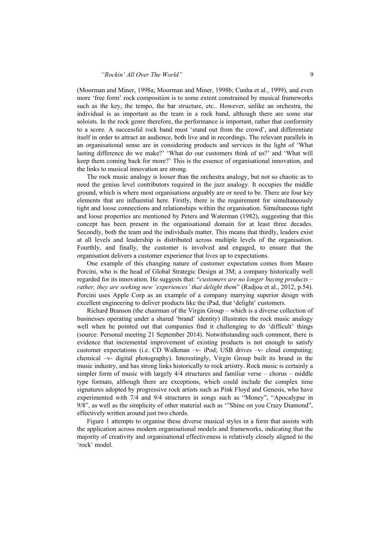#### *"Rockin' All Over The World"* 9

(Moorman and Miner, 1998a; Moorman and Miner, 1998b; Cunha et al., 1999), and even more 'free form' rock composition is to some extent constrained by musical frameworks such as the key, the tempo, the bar structure, etc.. However, unlike an orchestra, the individual is as important as the team in a rock band, although there are some star soloists. In the rock genre therefore, the performance is important, rather that conformity to a score. A successful rock band must 'stand out from the crowd', and differentiate itself in order to attract an audience, both live and in recordings. The relevant parallels in an organisational sense are in considering products and services in the light of 'What lasting difference do we make?' 'What do our customers think of us?' and 'What will keep them coming back for more?' This is the essence of organisational innovation, and the links to musical innovation are strong.

The rock music analogy is looser than the orchestra analogy, but not so chaotic as to need the genius level contributors required in the jazz analogy. It occupies the middle ground, which is where most organisations arguably are or need to be. There are four key elements that are influential here. Firstly, there is the requirement for simultaneously tight and loose connections and relationships within the organisation. Simultaneous tight and loose properties are mentioned by Peters and Waterman (1982), suggesting that this concept has been present in the organisational domain for at least three decades. Secondly, both the team and the individuals matter. This means that thirdly, leaders exist at all levels and leadership is distributed across multiple levels of the organisation. Fourthly, and finally, the customer is involved and engaged, to ensure that the organisation delivers a customer experience that lives up to expectations.

One example of this changing nature of customer expectation comes from Mauro Porcini, who is the head of Global Strategic Design at 3M; a company historically well regarded for its innovation. He suggests that: "*customers are no longer buying products – rather, they are seeking new 'experiences' that delight them*" (Radjou et al., 2012, p.54). Porcini uses Apple Corp as an example of a company marrying superior design with excellent engineering to deliver products like the iPad, that 'delight' customers.

Richard Branson (the chairman of the Virgin Group – which is a diverse collection of businesses operating under a shared 'brand' identity) illustrates the rock music analogy well when he pointed out that companies find it challenging to do 'difficult' things (source: Personal meeting 21 September 2014). Notwithstanding such comment, there is evidence that incremental improvement of existing products is not enough to satisfy customer expectations (i.e. CD Walkman –v- iPod; USB drives –v- cloud computing; chemical –v- digital photography). Interestingly, Virgin Group built its brand in the music industry, and has strong links historically to rock artistry. Rock music is certainly a simpler form of music with largely 4/4 structures and familiar verse – chorus – middle type formats, although there are exceptions, which could include the complex time signatures adopted by progressive rock artists such as Pink Floyd and Genesis, who have experimented with 7/4 and 9/4 structures in songs such as "Money", "Apocalypse in 9/8", as well as the simplicity of other material such as '"Shine on you Crazy Diamond", effectively written around just two chords.

Figure 1 attempts to organise these diverse musical styles in a form that assists with the application across modern organisational models and frameworks, indicating that the majority of creativity and organisational effectiveness is relatively closely aligned to the 'rock' model.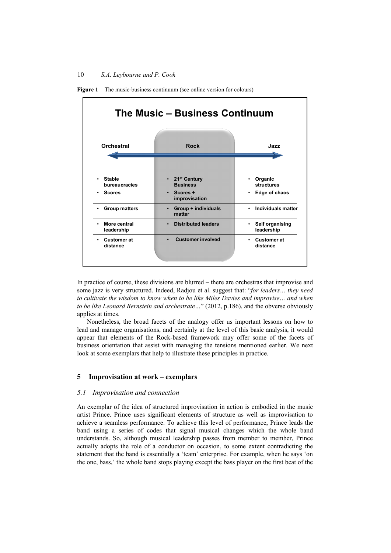

**Figure 1** The music-business continuum (see online version for colours)

In practice of course, these divisions are blurred – there are orchestras that improvise and some jazz is very structured. Indeed, Radjou et al. suggest that: "*for leaders… they need to cultivate the wisdom to know when to be like Miles Davies and improvise… and when to be like Leonard Bernstein and orchestrate…*" (2012, p.186), and the obverse obviously applies at times.

Nonetheless, the broad facets of the analogy offer us important lessons on how to lead and manage organisations, and certainly at the level of this basic analysis, it would appear that elements of the Rock-based framework may offer some of the facets of business orientation that assist with managing the tensions mentioned earlier. We next look at some exemplars that help to illustrate these principles in practice.

## **5 Improvisation at work – exemplars**

## *5.1 Improvisation and connection*

An exemplar of the idea of structured improvisation in action is embodied in the music artist Prince. Prince uses significant elements of structure as well as improvisation to achieve a seamless performance. To achieve this level of performance, Prince leads the band using a series of codes that signal musical changes which the whole band understands. So, although musical leadership passes from member to member, Prince actually adopts the role of a conductor on occasion, to some extent contradicting the statement that the band is essentially a 'team' enterprise. For example, when he says 'on the one, bass,' the whole band stops playing except the bass player on the first beat of the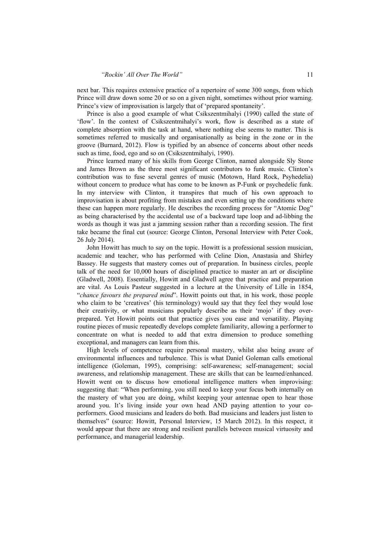#### *"Rockin' All Over The World"* 11

next bar. This requires extensive practice of a repertoire of some 300 songs, from which Prince will draw down some 20 or so on a given night, sometimes without prior warning. Prince's view of improvisation is largely that of 'prepared spontaneity'.

Prince is also a good example of what Csikszentmihalyi (1990) called the state of 'flow'. In the context of Csikszentmihalyi's work, flow is described as a state of complete absorption with the task at hand, where nothing else seems to matter. This is sometimes referred to musically and organisationally as being in the zone or in the groove (Burnard, 2012). Flow is typified by an absence of concerns about other needs such as time, food, ego and so on (Csikszentmihalyi, 1990).

Prince learned many of his skills from George Clinton, named alongside Sly Stone and James Brown as the three most significant contributors to funk music. Clinton's contribution was to fuse several genres of music (Motown, Hard Rock, Psyhedelia) without concern to produce what has come to be known as P-Funk or psychedelic funk. In my interview with Clinton, it transpires that much of his own approach to improvisation is about profiting from mistakes and even setting up the conditions where these can happen more regularly. He describes the recording process for "Atomic Dog" as being characterised by the accidental use of a backward tape loop and ad-libbing the words as though it was just a jamming session rather than a recording session. The first take became the final cut (source: George Clinton, Personal Interview with Peter Cook, 26 July 2014).

John Howitt has much to say on the topic. Howitt is a professional session musician, academic and teacher, who has performed with Celine Dion, Anastasia and Shirley Bassey. He suggests that mastery comes out of preparation. In business circles, people talk of the need for 10,000 hours of disciplined practice to master an art or discipline (Gladwell, 2008). Essentially, Howitt and Gladwell agree that practice and preparation are vital. As Louis Pasteur suggested in a lecture at the University of Lille in 1854, "*chance favours the prepared mind*". Howitt points out that, in his work, those people who claim to be 'creatives' (his terminology) would say that they feel they would lose their creativity, or what musicians popularly describe as their 'mojo' if they overprepared. Yet Howitt points out that practice gives you ease and versatility. Playing routine pieces of music repeatedly develops complete familiarity, allowing a performer to concentrate on what is needed to add that extra dimension to produce something exceptional, and managers can learn from this.

High levels of competence require personal mastery, whilst also being aware of environmental influences and turbulence. This is what Daniel Goleman calls emotional intelligence (Goleman, 1995), comprising: self-awareness; self-management; social awareness, and relationship management. These are skills that can be learned/enhanced. Howitt went on to discuss how emotional intelligence matters when improvising: suggesting that: "When performing, you still need to keep your focus both internally on the mastery of what you are doing, whilst keeping your antennae open to hear those around you. It's living inside your own head AND paying attention to your coperformers. Good musicians and leaders do both. Bad musicians and leaders just listen to themselves" (source: Howitt, Personal Interview, 15 March 2012). In this respect, it would appear that there are strong and resilient parallels between musical virtuosity and performance, and managerial leadership.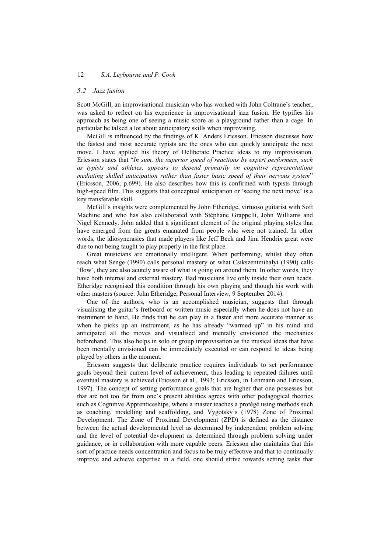### *5.2 Jazz fusion*

Scott McGill, an improvisational musician who has worked with John Coltrane's teacher, was asked to reflect on his experience in improvisational jazz fusion. He typifies his approach as being one of seeing a music score as a playground rather than a cage. In particular he talked a lot about anticipatory skills when improvising.

McGill is influenced by the findings of K. Anders Ericsson. Ericsson discusses how the fastest and most accurate typists are the ones who can quickly anticipate the next move. I have applied his theory of Deliberate Practice ideas to my improvisation. Ericsson states that "*In sum, the superior speed of reactions by expert performers, such as typists and athletes, appears to depend primarily on cognitive representations mediating skilled anticipation rather than faster basic speed of their nervous system*" (Ericsson, 2006, p.699). He also describes how this is confirmed with typists through high-speed film. This suggests that conceptual anticipation or 'seeing the next move' is a key transferable skill.

McGill's insights were complemented by John Etheridge, virtuoso guitarist with Soft Machine and who has also collaborated with Stéphane Grappelli, John Williams and Nigel Kennedy. John added that a significant element of the original playing styles that have emerged from the greats emanated from people who were not trained. In other words, the idiosyncrasies that made players like Jeff Beck and Jimi Hendrix great were due to not being taught to play properly in the first place.

Great musicians are emotionally intelligent. When performing, whilst they often reach what Senge (1990) calls personal mastery or what Csikszentmihalyi (1990) calls 'flow', they are also acutely aware of what is going on around them. In other words, they have both internal and external mastery. Bad musicians live only inside their own heads. Etheridge recognised this condition through his own playing and though his work with other masters (source: John Etheridge, Personal Interview, 9 September 2014).

One of the authors, who is an accomplished musician, suggests that through visualising the guitar's fretboard or written music especially when he does not have an instrument to hand, He finds that he can play in a faster and more accurate manner as when he picks up an instrument, as he has already "warmed up" in his mind and anticipated all the moves and visualised and mentally envisioned the mechanics beforehand. This also helps in solo or group improvisation as the musical ideas that have been mentally envisioned can be immediately executed or can respond to ideas being played by others in the moment.

Ericsson suggests that deliberate practice requires individuals to set performance goals beyond their current level of achievement, thus leading to repeated failures until eventual mastery is achieved (Ericsson et al., 1993; Ericsson, in Lehmann and Ericsson, 1997). The concept of setting performance goals that are higher that one possesses but that are not too far from one's present abilities agrees with other pedagogical theories such as Cognitive Apprenticeships, where a master teaches a protégé using methods such as coaching, modelling and scaffolding, and Vygotsky's (1978) Zone of Proximal Development. The Zone of Proximal Development (ZPD) is defined as the distance between the actual developmental level as determined by independent problem solving and the level of potential development as determined through problem solving under guidance, or in collaboration with more capable peers. Ericsson also maintains that this sort of practice needs concentration and focus to be truly effective and that to continually improve and achieve expertise in a field, one should strive towards setting tasks that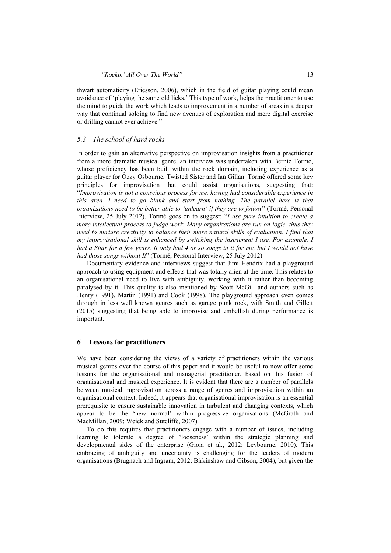thwart automaticity (Ericsson, 2006), which in the field of guitar playing could mean avoidance of 'playing the same old licks.' This type of work, helps the practitioner to use the mind to guide the work which leads to improvement in a number of areas in a deeper way that continual soloing to find new avenues of exploration and mere digital exercise or drilling cannot ever achieve."

## *5.3 The school of hard rocks*

In order to gain an alternative perspective on improvisation insights from a practitioner from a more dramatic musical genre, an interview was undertaken with Bernie Tormé, whose proficiency has been built within the rock domain, including experience as a guitar player for Ozzy Osbourne, Twisted Sister and Ian Gillan. Tormé offered some key principles for improvisation that could assist organisations, suggesting that: "*Improvisation is not a conscious process for me, having had considerable experience in this area. I need to go blank and start from nothing. The parallel here is that organizations need to be better able to 'unlearn' if they are to follow*" (Tormé, Personal Interview, 25 July 2012). Tormé goes on to suggest: "*I use pure intuition to create a more intellectual process to judge work. Many organizations are run on logic, thus they need to nurture creativity to balance their more natural skills of evaluation. I find that my improvisational skill is enhanced by switching the instrument I use. For example, I had a Sitar for a few years. It only had 4 or so songs in it for me, but I would not have had those songs without It*" (Tormé, Personal Interview, 25 July 2012).

Documentary evidence and interviews suggest that Jimi Hendrix had a playground approach to using equipment and effects that was totally alien at the time. This relates to an organisational need to live with ambiguity, working with it rather than becoming paralysed by it. This quality is also mentioned by Scott McGill and authors such as Henry (1991), Martin (1991) and Cook (1998). The playground approach even comes through in less well known genres such as garage punk rock, with Smith and Gillett (2015) suggesting that being able to improvise and embellish during performance is important.

## **6 Lessons for practitioners**

We have been considering the views of a variety of practitioners within the various musical genres over the course of this paper and it would be useful to now offer some lessons for the organisational and managerial practitioner, based on this fusion of organisational and musical experience. It is evident that there are a number of parallels between musical improvisation across a range of genres and improvisation within an organisational context. Indeed, it appears that organisational improvisation is an essential prerequisite to ensure sustainable innovation in turbulent and changing contexts, which appear to be the 'new normal' within progressive organisations (McGrath and MacMillan, 2009; Weick and Sutcliffe, 2007).

To do this requires that practitioners engage with a number of issues, including learning to tolerate a degree of 'looseness' within the strategic planning and developmental sides of the enterprise (Gioia et al., 2012; Leybourne, 2010). This embracing of ambiguity and uncertainty is challenging for the leaders of modern organisations (Brugnach and Ingram, 2012; Birkinshaw and Gibson, 2004), but given the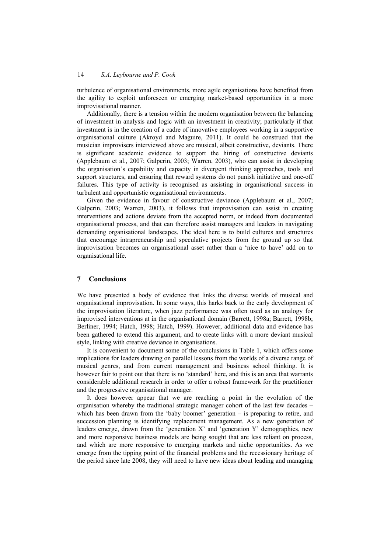turbulence of organisational environments, more agile organisations have benefited from the agility to exploit unforeseen or emerging market-based opportunities in a more improvisational manner.

Additionally, there is a tension within the modern organisation between the balancing of investment in analysis and logic with an investment in creativity; particularly if that investment is in the creation of a cadre of innovative employees working in a supportive organisational culture (Akroyd and Maguire, 2011). It could be construed that the musician improvisers interviewed above are musical, albeit constructive, deviants. There is significant academic evidence to support the hiring of constructive deviants (Applebaum et al., 2007; Galperin, 2003; Warren, 2003), who can assist in developing the organisation's capability and capacity in divergent thinking approaches, tools and support structures, and ensuring that reward systems do not punish initiative and one-off failures. This type of activity is recognised as assisting in organisational success in turbulent and opportunistic organisational environments.

Given the evidence in favour of constructive deviance (Applebaum et al., 2007; Galperin, 2003; Warren, 2003), it follows that improvisation can assist in creating interventions and actions deviate from the accepted norm, or indeed from documented organisational process, and that can therefore assist managers and leaders in navigating demanding organisational landscapes. The ideal here is to build cultures and structures that encourage intrapreneurship and speculative projects from the ground up so that improvisation becomes an organisational asset rather than a 'nice to have' add on to organisational life.

## **7 Conclusions**

We have presented a body of evidence that links the diverse worlds of musical and organisational improvisation. In some ways, this harks back to the early development of the improvisation literature, when jazz performance was often used as an analogy for improvised interventions at in the organisational domain (Barrett, 1998a; Barrett, 1998b; Berliner, 1994; Hatch, 1998; Hatch, 1999). However, additional data and evidence has been gathered to extend this argument, and to create links with a more deviant musical style, linking with creative deviance in organisations.

It is convenient to document some of the conclusions in Table 1, which offers some implications for leaders drawing on parallel lessons from the worlds of a diverse range of musical genres, and from current management and business school thinking. It is however fair to point out that there is no 'standard' here, and this is an area that warrants considerable additional research in order to offer a robust framework for the practitioner and the progressive organisational manager.

It does however appear that we are reaching a point in the evolution of the organisation whereby the traditional strategic manager cohort of the last few decades – which has been drawn from the 'baby boomer' generation – is preparing to retire, and succession planning is identifying replacement management. As a new generation of leaders emerge, drawn from the 'generation X' and 'generation Y' demographics, new and more responsive business models are being sought that are less reliant on process, and which are more responsive to emerging markets and niche opportunities. As we emerge from the tipping point of the financial problems and the recessionary heritage of the period since late 2008, they will need to have new ideas about leading and managing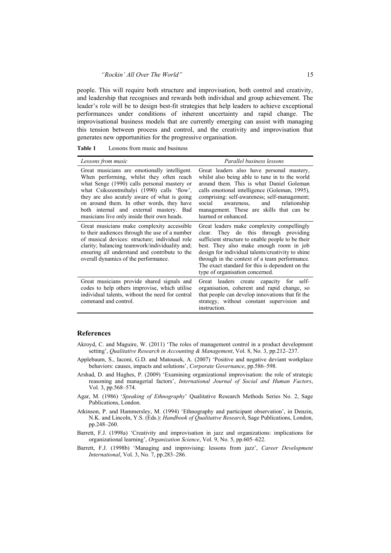people. This will require both structure and improvisation, both control and creativity, and leadership that recognises and rewards both individual and group achievement. The leader's role will be to design best-fit strategies that help leaders to achieve exceptional performances under conditions of inherent uncertainty and rapid change. The improvisational business models that are currently emerging can assist with managing this tension between process and control, and the creativity and improvisation that generates new opportunities for the progressive organisation.

**Table 1** Lessons from music and business

| Lessons from music                                                                                                                                                                                                                                                                                                                                                           | Parallel business lessons                                                                                                                                                                                                                                                                                                                                                       |
|------------------------------------------------------------------------------------------------------------------------------------------------------------------------------------------------------------------------------------------------------------------------------------------------------------------------------------------------------------------------------|---------------------------------------------------------------------------------------------------------------------------------------------------------------------------------------------------------------------------------------------------------------------------------------------------------------------------------------------------------------------------------|
| Great musicians are emotionally intelligent.<br>When performing, whilst they often reach<br>what Senge (1990) calls personal mastery or<br>what Csikszentmihalyi (1990) calls 'flow',<br>they are also acutely aware of what is going<br>on around them. In other words, they have<br>both internal and external mastery. Bad<br>musicians live only inside their own heads. | Great leaders also have personal mastery,<br>whilst also being able to tune in to the world<br>around them. This is what Daniel Goleman<br>calls emotional intelligence (Goleman, 1995),<br>comprising: self-awareness; self-management;<br>social<br>awareness, and<br>relationship<br>management. These are skills that can be<br>learned or enhanced.                        |
| Great musicians make complexity accessible<br>to their audiences through the use of a number<br>of musical devices: structure; individual role<br>clarity; balancing teamwork/individuality and;<br>ensuring all understand and contribute to the<br>overall dynamics of the performance.                                                                                    | Great leaders make complexity compellingly<br>clear. They do this through providing<br>sufficient structure to enable people to be their<br>best. They also make enough room in job<br>design for individual talents/creativity to shine<br>through in the context of a team performance.<br>The exact standard for this is dependent on the<br>type of organisation concerned. |
| Great musicians provide shared signals and<br>codes to help others improvise, which utilise<br>individual talents, without the need for central<br>command and control.                                                                                                                                                                                                      | Great leaders create capacity for self-<br>organisation, coherent and rapid change, so<br>that people can develop innovations that fit the<br>strategy, without constant supervision and<br>instruction.                                                                                                                                                                        |

## **References**

- Akroyd, C. and Maguire, W. (2011) 'The roles of management control in a product development setting', *Qualitative Research in Accounting & Management*, Vol. 8, No. 3, pp.212–237.
- Applebaum, S., Iaconi, G.D. and Matousek, A. (2007) 'Positive and negative deviant workplace behaviors: causes, impacts and solutions', *Corporate Governance*, pp.586–598.
- Arshad, D. and Hughes, P. (2009) 'Examining organizational improvisation: the role of strategic reasoning and managerial factors', *International Journal of Social and Human Factors*, Vol. 3, pp.568–574.
- Agar, M. (1986) '*Speaking of Ethnography*' Qualitative Research Methods Series No. 2, Sage Publications, London.
- Atkinson, P. and Hammersley, M. (1994) 'Ethnography and participant observation', in Denzin, N.K. and Lincoln, Y.S. (Eds.): *Handbook of Qualitative Research*, Sage Publications, London, pp.248–260.
- Barrett, F.J. (1998a) 'Creativity and improvisation in jazz and organizations: implications for organizational learning', *Organization Science*, Vol. 9, No. 5, pp.605–622.
- Barrett, F.J. (1998b) 'Managing and improvising: lessons from jazz', *Career Development International*, Vol. 3, No. 7, pp.283–286.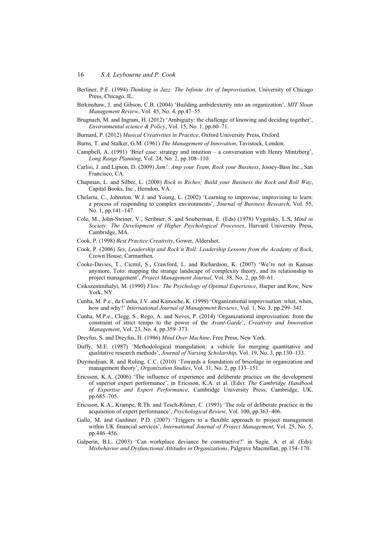- Berliner, P.F. (1994) *Thinking in Jazz: The Infinite Art of Improvisation*, University of Chicago Press, Chicago, IL.
- Birkinshaw, J. and Gibson, C.B. (2004) 'Building ambidexterity into an organization', *MIT Sloan Management Review*, Vol. 45, No. 4, pp.47–55.
- Brugnach, M. and Ingram, H. (2012) 'Ambiguity: the challenge of knowing and deciding together', *Environmental science & Policy*, Vol. 15, No. 1, pp.60–71.
- Burnard, P. (2012) *Musical Creativities in Practice*, Oxford University Press, Oxford.
- Burns, T. and Stalker, G.M. (1961) *The Management of Innovation*, Tavistock, London.
- Campbell, A. (1991) 'Brief case: strategy and intuition a conversation with Henry Mintzberg', *Long Range Planning*, Vol. 24, No. 2, pp.108–110.
- Carlisi, J. and Lipson, D. (2009) *Jam!: Amp your Team, Rock your Business*, Jossey-Bass Inc., San Francisco, CA.
- Chapman, L. and Silber, L. (2008) *Rock to Riches; Build your Business the Rock and Roll Way*, Capital Books, Inc., Herndon, VA.
- Chelariu, C., Johnston, W.J. and Young, L. (2002) 'Learning to improvise, improvising to learn: a process of responding to complex environments', *Journal of Business Research*, Vol. 55, No. 1, pp.141–147.
- Cole, M., John-Steiner, V., Scribner, S. and Souberman, E. (Eds) (1978) Vygotsky, L.S, *Mind in Society: The Development of Higher Psychological Processes*, Harvard University Press, Cambridge, MA.
- Cook, P. (1998) *Best Practice Creativity*, Gower, Aldershot.
- Cook, P. (2006) *Sex, Leadership and Rock'n'Roll: Leadership Lessons from the Academy of Rock*, Crown House, Carmarthen.
- Cooke-Davies, T., Cicmil, S., Crawford, L. and Richardson, K. (2007) 'We're not in Kansas anymore, Toto: mapping the strange landscape of complexity theory, and its relationship to project management', *Project Management Journal*, Vol. 38, No. 2, pp.50–61.
- Csikszentmihalyi, M. (1990) *Flow: The Psychology of Optimal Experience*, Harper and Row, New York, NY.
- Cunha, M. P.e., da Cunha, J.V. and Kamoche, K. (1999) 'Organizational improvisation: what, when, how and why?' *International Journal of Management Reviews*, Vol. 1, No. 3, pp.299–341.
- Cunha, M.P.e., Clegg, S., Rego, A. and Neves, P. (2014) 'Organizational improvisation: from the constraint of strict tempo to the power of the *Avant-Garde*', *Creativity and Innovation Management*, Vol. 23, No. 4, pp.359–373.
- Dreyfus, S. and Dreyfus, H. (1986) *Mind Over Machine*, Free Press, New York.
- Duffy, M.E. (1987) 'Methodological triangulation: a vehicle for merging quantitative and qualitative research methods', *Journal of Nursing Scholarship*, Vol. 19, No. 3, pp.130–133.
- Duymedjian, R. and Ruling, C.C. (2010) 'Towards a foundation of bricolage in organization and management theory', *Organization Studies*, Vol. 31, No. 2, pp.133–151.
- Ericsson, K.A. (2006) 'The influence of experience and deliberate practice on the development of superior expert performance', in Ericsson, K.A. et al. (Eds): *The Cambridge Handbook of Expertise and Expert Performance*, Cambridge University Press, Cambridge, UK, pp.685–705.
- Ericsson, K.A., Krampe, R.Th. and Tesch-Rőmer, C. (1993) 'The role of deliberate practice in the acquisition of expert performance', *Psychological Review*, Vol. 100, pp.363–406.
- Gallo, M. and Gardiner, P.D. (2007) 'Triggers to a flexible approach to project management within UK financial services', *International Journal of Project Management*, Vol. 25, No. 5, pp.446–456.
- Galperin, B.L. (2003) 'Can workplace deviance be constructive?' in Sagie, A. et al. (Eds): *Misbehavior and Dysfunctional Attitudes in Organizations*, Palgrave Macmillan, pp.154–170.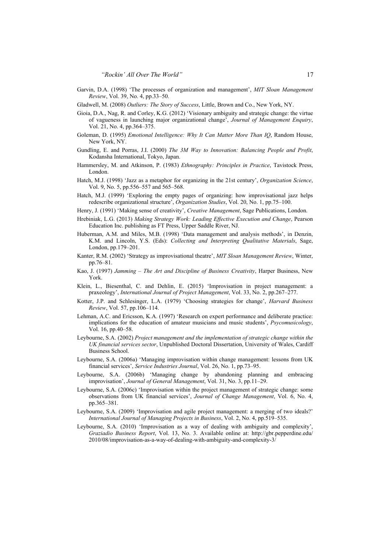Garvin, D.A. (1998) 'The processes of organization and management', *MIT Sloan Management Review*, Vol. 39, No. 4, pp.33–50.

Gladwell, M. (2008) *Outliers: The Story of Success*, Little, Brown and Co., New York, NY.

- Gioia, D.A., Nag, R. and Corley, K.G. (2012) 'Visionary ambiguity and strategic change: the virtue of vagueness in launching major organizational change', *Journal of Management Enquiry*, Vol. 21, No. 4, pp.364–375.
- Goleman, D. (1995) *Emotional Intelligence: Why It Can Matter More Than IQ*, Random House, New York, NY.
- Gundling, E. and Porras, J.I. (2000) *The 3M Way to Innovation: Balancing People and Profit*, Kodansha International, Tokyo, Japan.
- Hammersley, M. and Atkinson, P. (1983) *Ethnography: Principles in Practice*, Tavistock Press, London.
- Hatch, M.J. (1998) 'Jazz as a metaphor for organizing in the 21st century', *Organization Science*, Vol. 9, No. 5, pp.556–557 and 565–568.
- Hatch, M.J. (1999) 'Exploring the empty pages of organizing: how improvisational jazz helps redescribe organizational structure', *Organization Studies*, Vol. 20, No. 1, pp.75–100.
- Henry, J. (1991) 'Making sense of creativity', *Creative Management*, Sage Publications, London.
- Hrebiniak, L.G. (2013) *Making Strategy Work: Leading Effective Execution and Change*, Pearson Education Inc. publishing as FT Press, Upper Saddle River, NJ.
- Huberman, A.M. and Miles, M.B. (1998) 'Data management and analysis methods', in Denzin, K.M. and Lincoln, Y.S. (Eds): *Collecting and Interpreting Qualitative Materials*, Sage, London, pp.179–201.
- Kanter, R.M. (2002) 'Strategy as improvisational theatre', *MIT Sloan Management Review*, Winter, pp.76–81.
- Kao, J. (1997) *Jamming The Art and Discipline of Business Creativity*, Harper Business, New York.
- Klein, L., Biesenthal, C. and Dehlin, E. (2015) 'Improvisation in project management: a praxeology', *International Journal of Project Management*, Vol. 33, No. 2, pp.267–277.
- Kotter, J.P. and Schlesinger, L.A. (1979) 'Choosing strategies for change', *Harvard Business Review*, Vol. 57, pp.106–114.
- Lehman, A.C. and Ericsson, K.A. (1997) 'Research on expert performance and deliberate practice: implications for the education of amateur musicians and music students', *Psycomusicology*, Vol. 16, pp.40–58.
- Leybourne, S.A. (2002) *Project management and the implementation of strategic change within the UK financial services sector*, Unpublished Doctoral Dissertation, University of Wales, Cardiff Business School.
- Leybourne, S.A. (2006a) 'Managing improvisation within change management: lessons from UK financial services', *Service Industries Journal*, Vol. 26, No. 1, pp.73–95.
- Leybourne, S.A. (2006b) 'Managing change by abandoning planning and embracing improvisation', *Journal of General Management*, Vol. 31, No. 3, pp.11–29.
- Leybourne, S.A. (2006c) 'Improvisation within the project management of strategic change: some observations from UK financial services', *Journal of Change Management*, Vol. 6, No. 4, pp.365–381.
- Leybourne, S.A. (2009) 'Improvisation and agile project management: a merging of two ideals?' *International Journal of Managing Projects in Business*, Vol. 2, No. 4, pp.519–535.
- Leybourne, S.A. (2010) 'Improvisation as a way of dealing with ambiguity and complexity', *Graziadio Business Report*, Vol. 13, No. 3. Available online at: http://gbr.pepperdine.edu/ 2010/08/improvisation-as-a-way-of-dealing-with-ambiguity-and-complexity-3/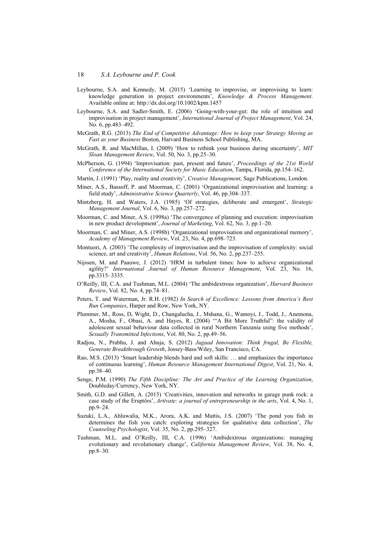- Leybourne, S.A. and Kennedy, M. (2015) 'Learning to improvise, or improvising to learn: knowledge generation in project environments', *Knowledge & Process Management*. Available online at: http://dx.doi.org/10.1002/kpm.1457
- Leybourne, S.A. and Sadler-Smith, E. (2006) 'Going-with-your-gut: the role of intuition and improvisation in project management', *International Journal of Project Management*, Vol. 24, No. 6, pp.483–492.
- McGrath, R.G. (2013) *The End of Competitive Advantage: How to keep your Strategy Moving as Fast as your Business* Boston, Harvard Business School Publishing, MA.
- McGrath, R. and MacMillan, I. (2009) 'How to rethink your business during uncertainty', *MIT Sloan Management Review*, Vol. 50, No. 3, pp.25–30.
- McPherson, G. (1994) 'Improvisation: past, present and future', *Proceedings of the 21st World Conference of the International Society for Music Education*, Tampa, Florida, pp.154–162.
- Martin, J. (1991) 'Play, reality and creativity', *Creative Management*, Sage Publications, London.
- Miner, A.S., Bassoff, P. and Moorman, C. (2001) 'Organizational improvisation and learning: a field study', *Administrative Science Quarterly*, Vol. 46, pp.304–337.
- Mintzberg, H. and Waters, J.A. (1985) 'Of strategies, deliberate and emergent', *Strategic Management Journal*, Vol. 6, No. 3, pp.257–272.
- Moorman, C. and Miner, A.S. (1998a) 'The convergence of planning and execution: improvisation in new product development', *Journal of Marketing*, Vol. 62, No. 3, pp.1–20.
- Moorman, C. and Miner, A.S. (1998b) 'Organizational improvisation and organizational memory', *Academy of Management Review*, Vol. 23, No. 4, pp.698–723.
- Montuori, A. (2003) 'The complexity of improvisation and the improvisation of complexity: social science, art and creativity', *Human Relations*, Vol. 56, No. 2, pp.237–255.
- Nijssen, M. and Paauwe, J. (2012) 'HRM in turbulent times: how to achieve organizational agility?' *International Journal of Human Resource Management*, Vol. 23, No. 16, pp.3315–3335.
- O'Reilly, III, C.A. and Tushman, M.L. (2004) 'The ambidextrous organization', *Harvard Business Review*, Vol. 82, No. 4, pp.74–81.
- Peters, T. and Waterman, Jr. R.H. (1982) *In Search of Excellence: Lessons from America's Best Run Companies*, Harper and Row, New York, NY.
- Plummer, M., Ross, D, Wight, D., Changalucha, J., Mshana, G., Wamoyi, J., Todd, J., Anemona, A., Mosha, F., Obasi, A. and Hayes, R. (2004) '"A Bit More Truthful": the validity of adolescent sexual behaviour data collected in rural Northern Tanzania using five methods', *Sexually Transmitted Infections*, Vol. 80, No. 2, pp.49–56.
- Radjou, N., Prabhu, J. and Ahuja, S. (2012) *Jugaad Innovation: Think frugal, Be Flexible, Generate Breakthrough Growth*, Jossey-Bass/Wiley, San Francisco, CA.
- Rao, M.S. (2013) 'Smart leadership blends hard and soft skills: … and emphasizes the importance of continuous learning', *Human Resource Management International Digest*, Vol. 21, No. 4, pp.38–40.
- Senge, P.M. (1990) *The Fifth Discipline: The Art and Practice of the Learning Organization*, Doubleday/Currency, New York, NY.
- Smith, G.D. and Gillett, A. (2015) 'Creativities, innovation and networks in garage punk rock: a case study of the Eruptörs', *Artivate: a journal of entrepreneurship in the arts*, Vol. 4, No. 1, pp.9–24.
- Suzuki, L.A., Ahluwalia, M.K., Arora, A.K. and Mattis, J.S. (2007) 'The pond you fish in determines the fish you catch: exploring strategies for qualitative data collection', *The Counseling Psychologist*, Vol. 35, No. 2, pp.295–327.
- Tushman, M.L. and O'Reilly, III, C.A. (1996) 'Ambidextrous organizations: managing evolutionary and revolutionary change', *California Management Review*, Vol. 38, No. 4, pp.8–30.